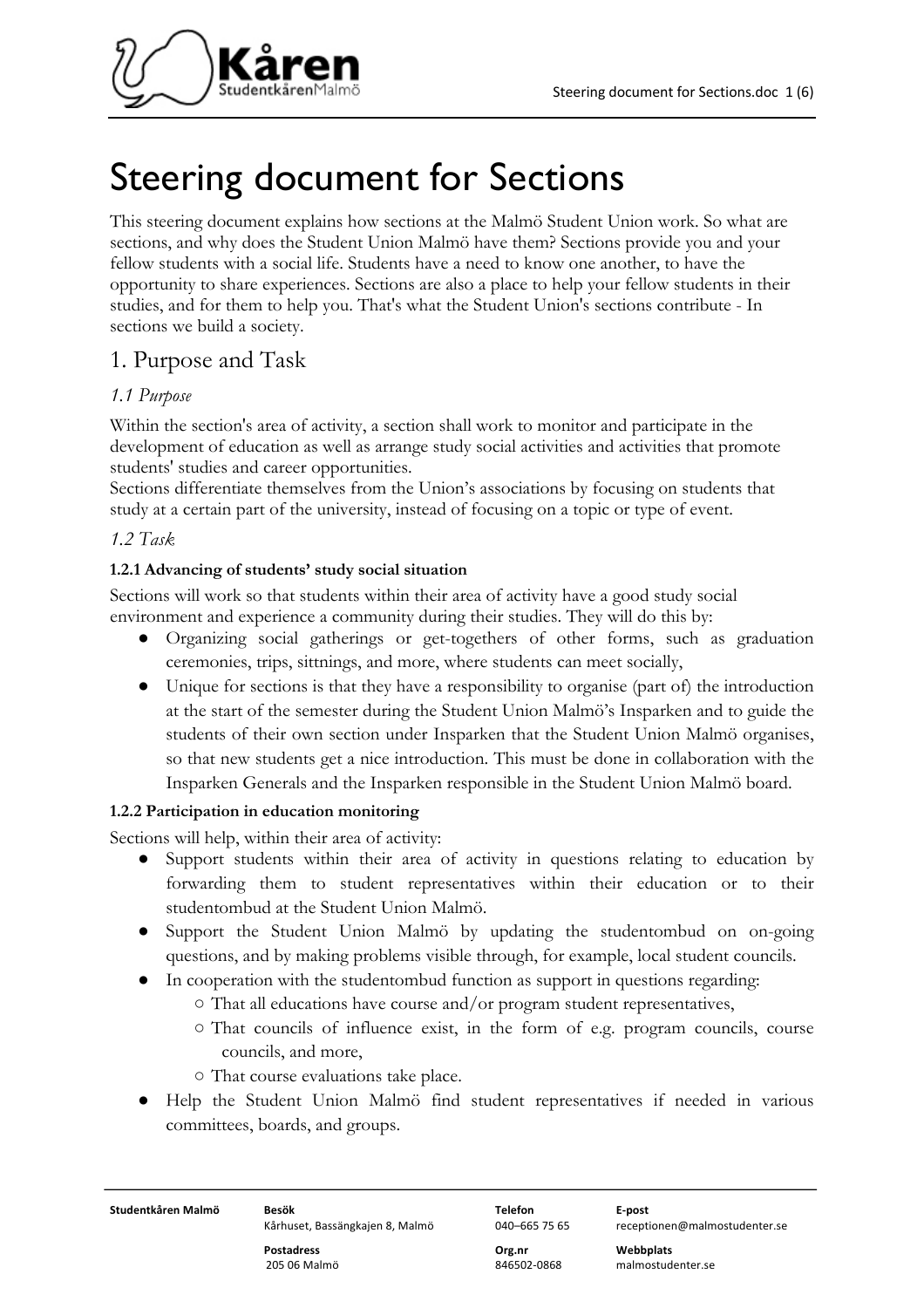

# Steering document for Sections

This steering document explains how sections at the Malmö Student Union work. So what are sections, and why does the Student Union Malmö have them? Sections provide you and your fellow students with a social life. Students have a need to know one another, to have the opportunity to share experiences. Sections are also a place to help your fellow students in their studies, and for them to help you. That's what the Student Union's sections contribute - In sections we build a society.

# 1. Purpose and Task

### *1.1 Purpose*

Within the section's area of activity, a section shall work to monitor and participate in the development of education as well as arrange study social activities and activities that promote students' studies and career opportunities.

Sections differentiate themselves from the Union's associations by focusing on students that study at a certain part of the university, instead of focusing on a topic or type of event.

#### *1.2 Task*

#### **1.2.1 Advancing of students' study social situation**

Sections will work so that students within their area of activity have a good study social environment and experience a community during their studies. They will do this by:

- Organizing social gatherings or get-togethers of other forms, such as graduation ceremonies, trips, sittnings, and more, where students can meet socially,
- Unique for sections is that they have a responsibility to organise (part of) the introduction at the start of the semester during the Student Union Malmö's Insparken and to guide the students of their own section under Insparken that the Student Union Malmö organises, so that new students get a nice introduction. This must be done in collaboration with the Insparken Generals and the Insparken responsible in the Student Union Malmö board.

### **1.2.2 Participation in education monitoring**

Sections will help, within their area of activity:

- Support students within their area of activity in questions relating to education by forwarding them to student representatives within their education or to their studentombud at the Student Union Malmö.
- Support the Student Union Malmö by updating the studentombud on on-going questions, and by making problems visible through, for example, local student councils.
- In cooperation with the studentombud function as support in questions regarding:
	- That all educations have course and/or program student representatives,
	- That councils of influence exist, in the form of e.g. program councils, course councils, and more,
	- That course evaluations take place.
- Help the Student Union Malmö find student representatives if needed in various committees, boards, and groups.

**Studentkåren Malmö Besök Telefon E-post**

Kårhuset, Bassängkajen 8, Malmö 040–665 75 65 receptionen@malmostudenter.se

**Postadress Org.nr Webbplats**

205 06 Malmö 846502-0868 malmostudenter.se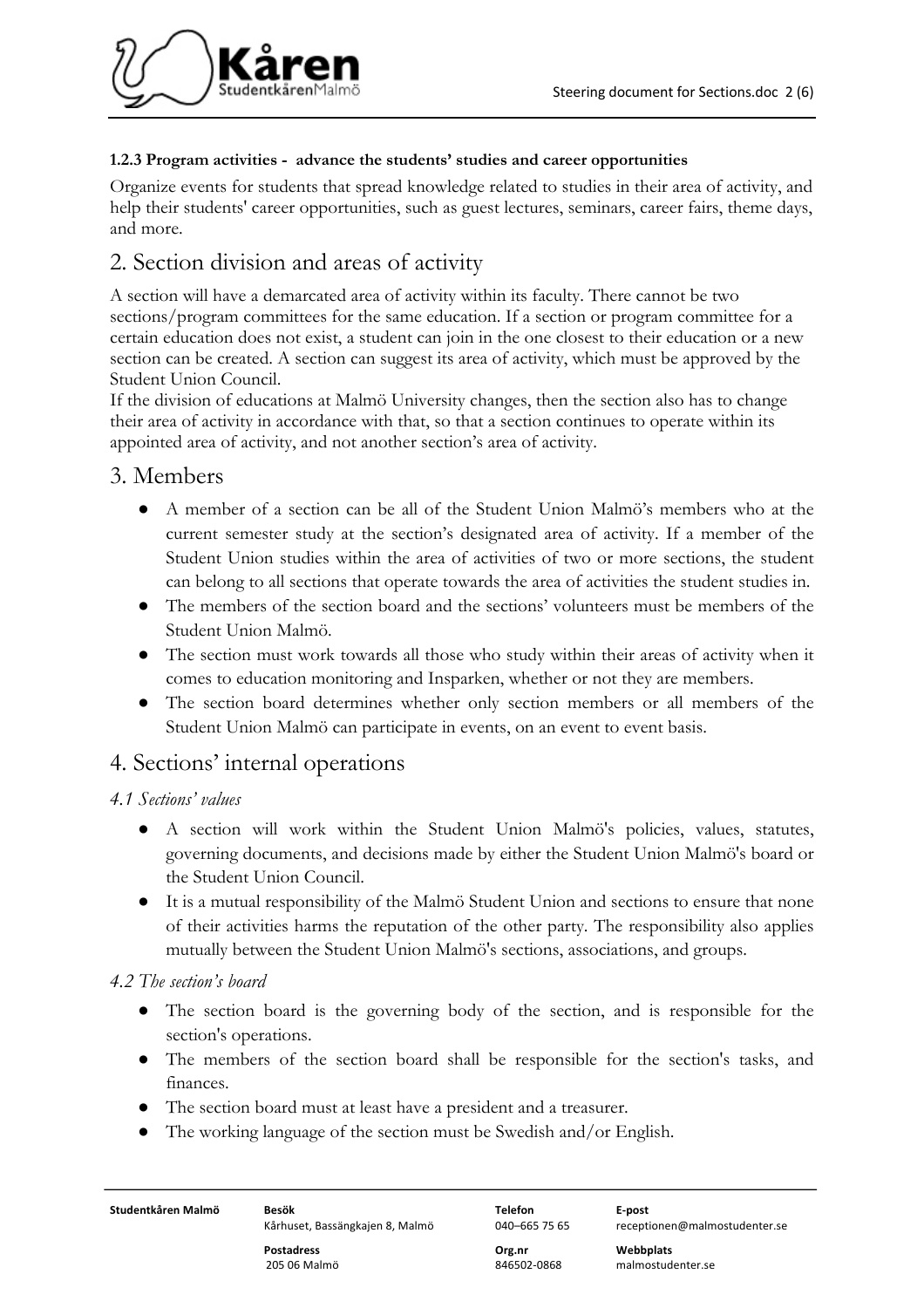

#### **1.2.3 Program activities - advance the students' studies and career opportunities**

Organize events for students that spread knowledge related to studies in their area of activity, and help their students' career opportunities, such as guest lectures, seminars, career fairs, theme days, and more.

# 2. Section division and areas of activity

A section will have a demarcated area of activity within its faculty. There cannot be two sections/program committees for the same education. If a section or program committee for a certain education does not exist, a student can join in the one closest to their education or a new section can be created. A section can suggest its area of activity, which must be approved by the Student Union Council.

If the division of educations at Malmö University changes, then the section also has to change their area of activity in accordance with that, so that a section continues to operate within its appointed area of activity, and not another section's area of activity.

# 3. Members

- A member of a section can be all of the Student Union Malmö's members who at the current semester study at the section's designated area of activity. If a member of the Student Union studies within the area of activities of two or more sections, the student can belong to all sections that operate towards the area of activities the student studies in.
- The members of the section board and the sections' volunteers must be members of the Student Union Malmö.
- The section must work towards all those who study within their areas of activity when it comes to education monitoring and Insparken, whether or not they are members.
- The section board determines whether only section members or all members of the Student Union Malmö can participate in events, on an event to event basis.

# 4. Sections' internal operations

### *4.1 Sections' values*

- A section will work within the Student Union Malmö's policies, values, statutes, governing documents, and decisions made by either the Student Union Malmö's board or the Student Union Council.
- It is a mutual responsibility of the Malmö Student Union and sections to ensure that none of their activities harms the reputation of the other party. The responsibility also applies mutually between the Student Union Malmö's sections, associations, and groups.

### *4.2 The section's board*

- The section board is the governing body of the section, and is responsible for the section's operations.
- The members of the section board shall be responsible for the section's tasks, and finances.
- The section board must at least have a president and a treasurer.
- The working language of the section must be Swedish and/or English.

**Studentkåren Malmö Besök Telefon E-post**

Kårhuset, Bassängkajen 8, Malmö 040–665 75 65 receptionen@malmostudenter.se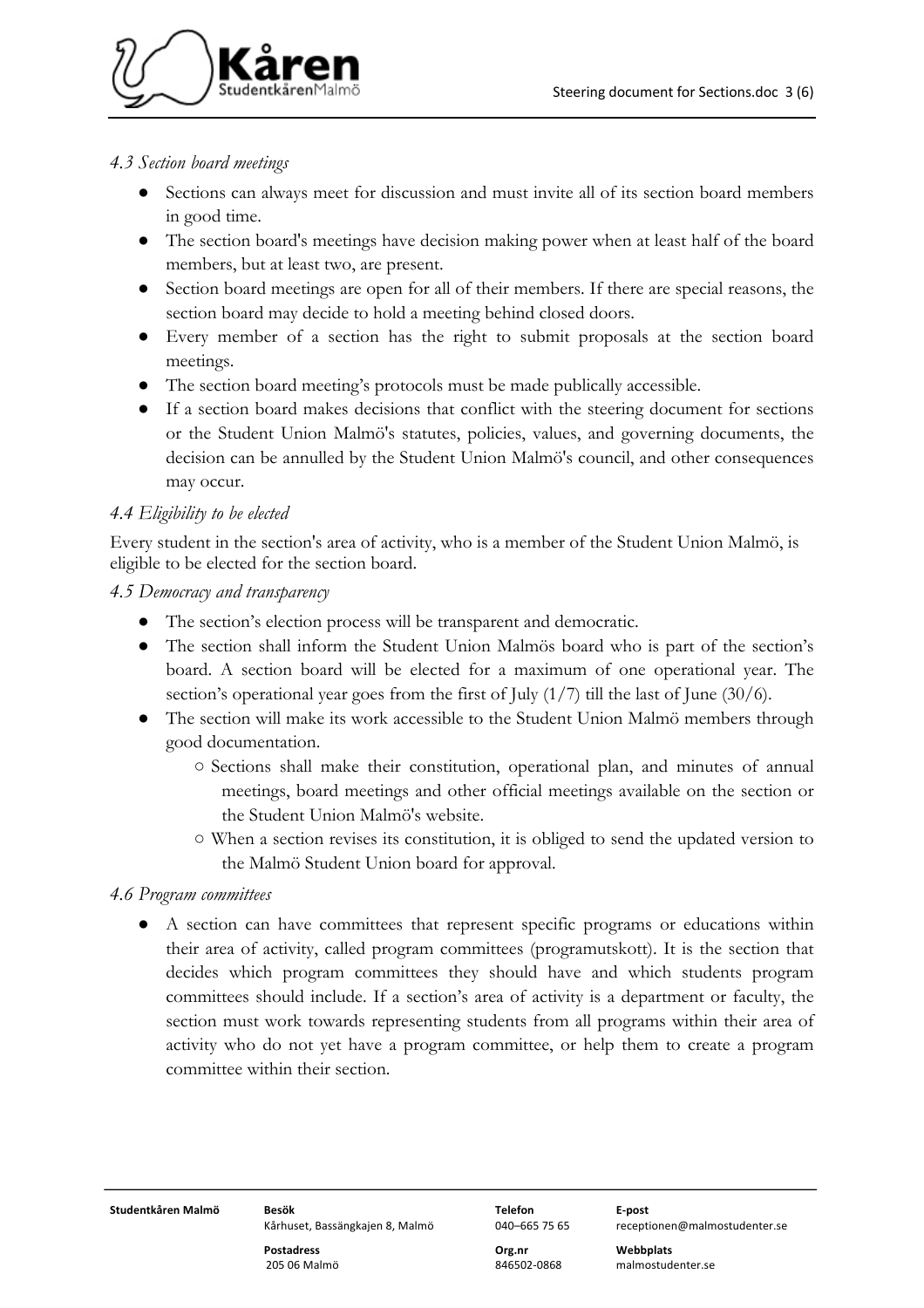

#### *4.3 Section board meetings*

- Sections can always meet for discussion and must invite all of its section board members in good time.
- The section board's meetings have decision making power when at least half of the board members, but at least two, are present.
- Section board meetings are open for all of their members. If there are special reasons, the section board may decide to hold a meeting behind closed doors.
- Every member of a section has the right to submit proposals at the section board meetings.
- The section board meeting's protocols must be made publically accessible.
- If a section board makes decisions that conflict with the steering document for sections or the Student Union Malmö's statutes, policies, values, and governing documents, the decision can be annulled by the Student Union Malmö's council, and other consequences may occur.

### *4.4 Eligibility to be elected*

Every student in the section's area of activity, who is a member of the Student Union Malmö, is eligible to be elected for the section board.

#### *4.5 Democracy and transparency*

- The section's election process will be transparent and democratic.
- The section shall inform the Student Union Malmös board who is part of the section's board. A section board will be elected for a maximum of one operational year. The section's operational year goes from the first of July (1/7) till the last of June (30/6).
- The section will make its work accessible to the Student Union Malmö members through good documentation.
	- Sections shall make their constitution, operational plan, and minutes of annual meetings, board meetings and other official meetings available on the section or the Student Union Malmö's website.
	- When a section revises its constitution, it is obliged to send the updated version to the Malmö Student Union board for approval.

#### *4.6 Program committees*

● A section can have committees that represent specific programs or educations within their area of activity, called program committees (programutskott). It is the section that decides which program committees they should have and which students program committees should include. If a section's area of activity is a department or faculty, the section must work towards representing students from all programs within their area of activity who do not yet have a program committee, or help them to create a program committee within their section.

**Studentkåren Malmö Besök Telefon E-post**

Kårhuset, Bassängkajen 8, Malmö 040–665 75 65 receptionen@malmostudenter.se

**Postadress Org.nr Webbplats**

205 06 Malmö 846502-0868 malmostudenter.se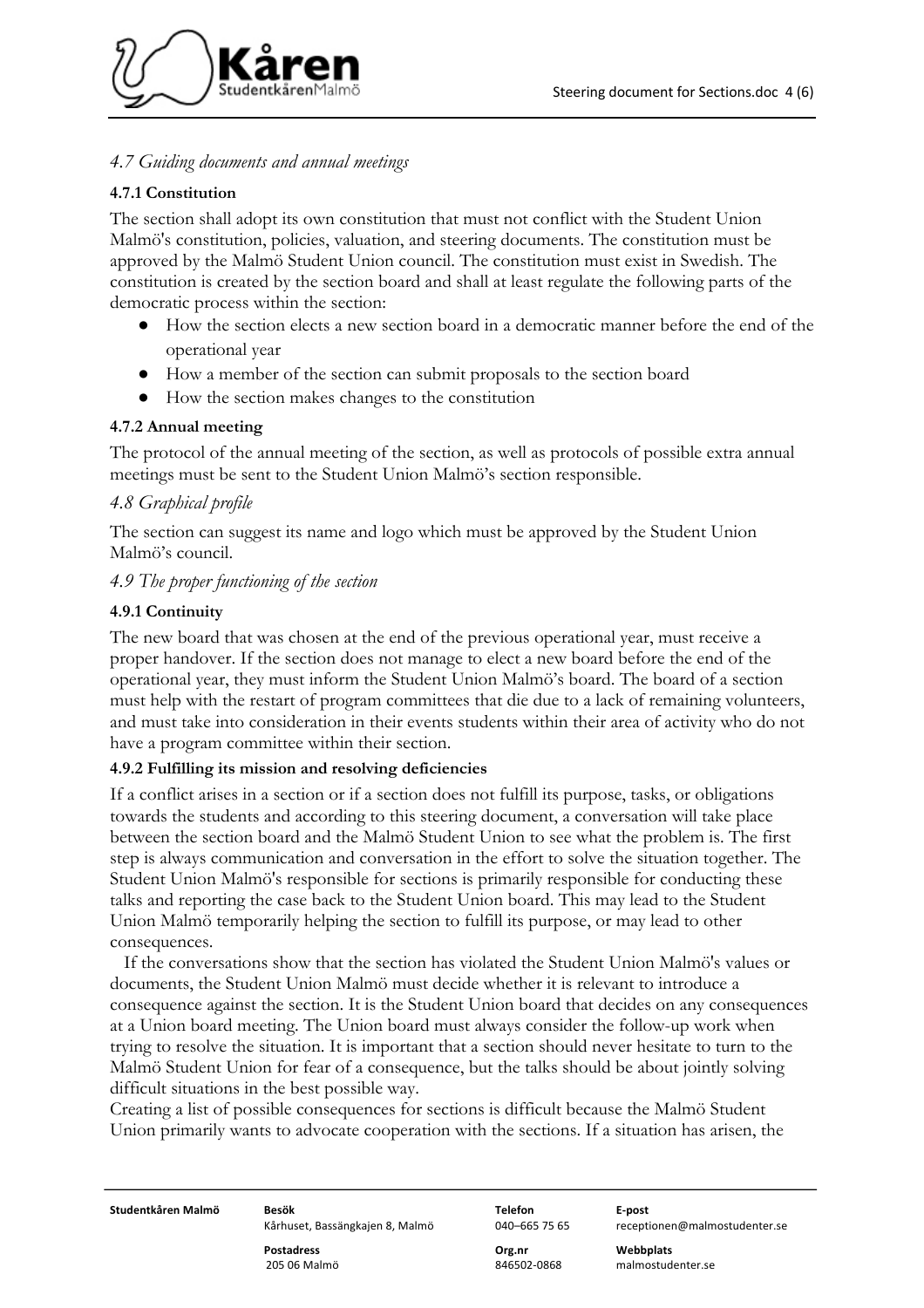

#### *4.7 Guiding documents and annual meetings*

#### **4.7.1 Constitution**

The section shall adopt its own constitution that must not conflict with the Student Union Malmö's constitution, policies, valuation, and steering documents. The constitution must be approved by the Malmö Student Union council. The constitution must exist in Swedish. The constitution is created by the section board and shall at least regulate the following parts of the democratic process within the section:

- How the section elects a new section board in a democratic manner before the end of the operational year
- How a member of the section can submit proposals to the section board
- How the section makes changes to the constitution

#### **4.7.2 Annual meeting**

The protocol of the annual meeting of the section, as well as protocols of possible extra annual meetings must be sent to the Student Union Malmö's section responsible.

#### *4.8 Graphical profile*

The section can suggest its name and logo which must be approved by the Student Union Malmö's council.

#### *4.9 The proper functioning of the section*

#### **4.9.1 Continuity**

The new board that was chosen at the end of the previous operational year, must receive a proper handover. If the section does not manage to elect a new board before the end of the operational year, they must inform the Student Union Malmö's board. The board of a section must help with the restart of program committees that die due to a lack of remaining volunteers, and must take into consideration in their events students within their area of activity who do not have a program committee within their section.

#### **4.9.2 Fulfilling its mission and resolving deficiencies**

If a conflict arises in a section or if a section does not fulfill its purpose, tasks, or obligations towards the students and according to this steering document, a conversation will take place between the section board and the Malmö Student Union to see what the problem is. The first step is always communication and conversation in the effort to solve the situation together. The Student Union Malmö's responsible for sections is primarily responsible for conducting these talks and reporting the case back to the Student Union board. This may lead to the Student Union Malmö temporarily helping the section to fulfill its purpose, or may lead to other consequences.

 If the conversations show that the section has violated the Student Union Malmö's values or documents, the Student Union Malmö must decide whether it is relevant to introduce a consequence against the section. It is the Student Union board that decides on any consequences at a Union board meeting. The Union board must always consider the follow-up work when trying to resolve the situation. It is important that a section should never hesitate to turn to the Malmö Student Union for fear of a consequence, but the talks should be about jointly solving difficult situations in the best possible way.

Creating a list of possible consequences for sections is difficult because the Malmö Student Union primarily wants to advocate cooperation with the sections. If a situation has arisen, the

**Studentkåren Malmö Besök Telefon E-post**

**Postadress Org.nr Webbplats**

Kårhuset, Bassängkajen 8, Malmö 040–665 75 65 receptionen@malmostudenter.se

205 06 Malmö 846502-0868 malmostudenter.se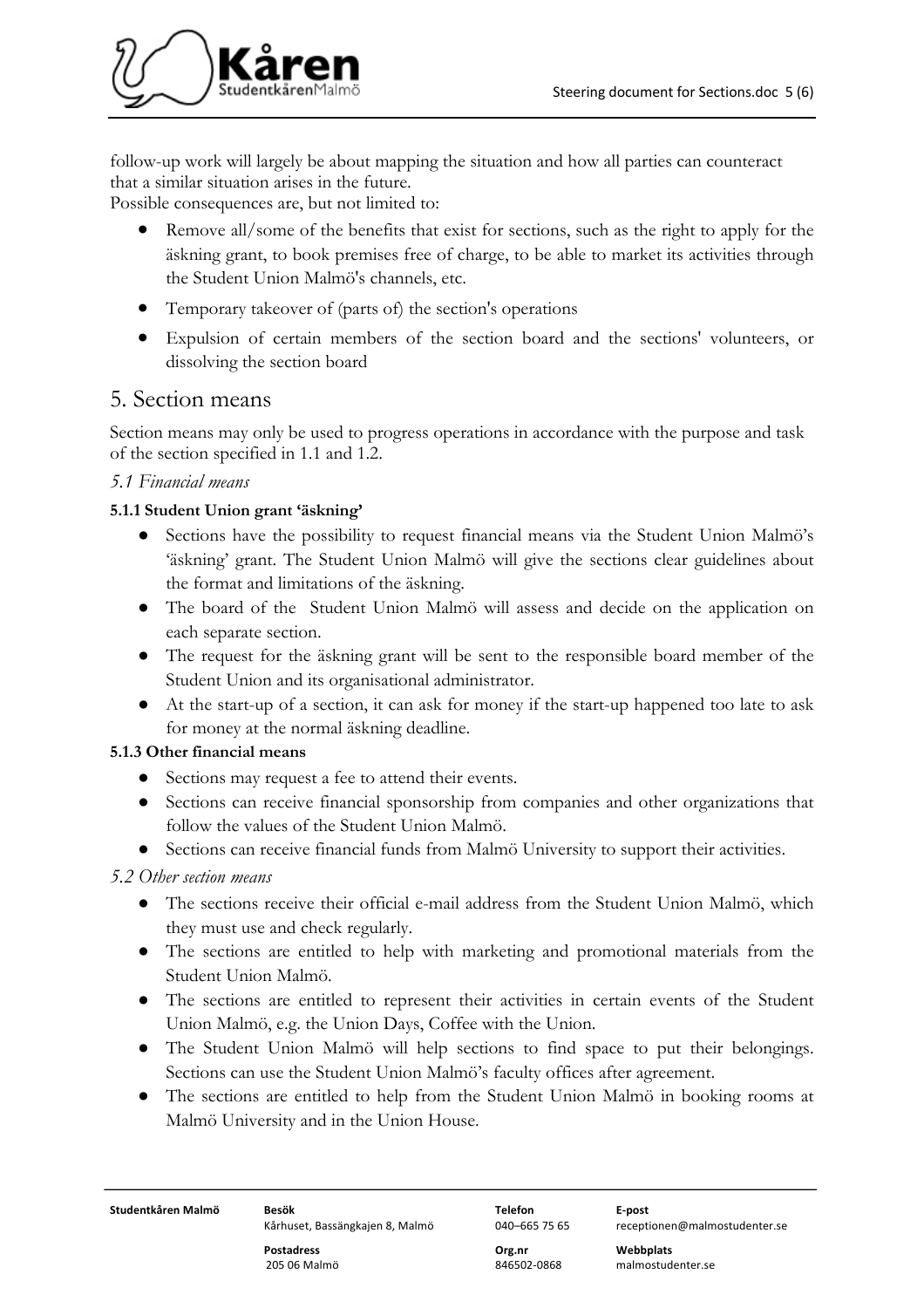

follow-up work will largely be about mapping the situation and how all parties can counteract that a similar situation arises in the future.

Possible consequences are, but not limited to:

- Remove all/some of the benefits that exist for sections, such as the right to apply for the äskning grant, to book premises free of charge, to be able to market its activities through the Student Union Malmö's channels, etc.
- Temporary takeover of (parts of) the section's operations
- Expulsion of certain members of the section board and the sections' volunteers, or dissolving the section board

## 5. Section means

Section means may only be used to progress operations in accordance with the purpose and task of the section specified in 1.1 and 1.2.

#### *5.1 Financial means*

#### **5.1.1 Student Union grant 'äskning'**

- Sections have the possibility to request financial means via the Student Union Malmö's 'äskning' grant. The Student Union Malmö will give the sections clear guidelines about the format and limitations of the äskning.
- The board of the Student Union Malmö will assess and decide on the application on each separate section.
- The request for the äskning grant will be sent to the responsible board member of the Student Union and its organisational administrator.
- At the start-up of a section, it can ask for money if the start-up happened too late to ask for money at the normal äskning deadline.

### **5.1.3 Other financial means**

- Sections may request a fee to attend their events.
- Sections can receive financial sponsorship from companies and other organizations that follow the values of the Student Union Malmö.
- Sections can receive financial funds from Malmö University to support their activities.

#### *5.2 Other section means*

- The sections receive their official e-mail address from the Student Union Malmö, which they must use and check regularly.
- The sections are entitled to help with marketing and promotional materials from the Student Union Malmö.
- The sections are entitled to represent their activities in certain events of the Student Union Malmö, e.g. the Union Days, Coffee with the Union.
- The Student Union Malmö will help sections to find space to put their belongings. Sections can use the Student Union Malmö's faculty offices after agreement.
- The sections are entitled to help from the Student Union Malmö in booking rooms at Malmö University and in the Union House.

**Studentkåren Malmö Besök Telefon E-post**

Kårhuset, Bassängkajen 8, Malmö 040–665 75 65 receptionen@malmostudenter.se